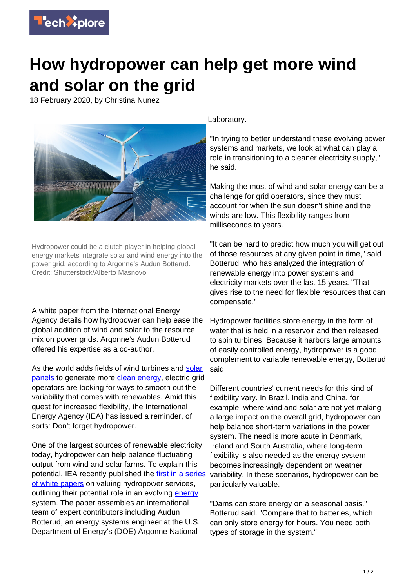

## **How hydropower can help get more wind and solar on the grid**

18 February 2020, by Christina Nunez



Hydropower could be a clutch player in helping global energy markets integrate solar and wind energy into the power grid, according to Argonne's Audun Botterud. Credit: Shutterstock/Alberto Masnovo

A white paper from the International Energy Agency details how hydropower can help ease the global addition of wind and solar to the resource mix on power grids. Argonne's Audun Botterud offered his expertise as a co-author.

As the world adds fields of wind turbines and [solar](https://techxplore.com/tags/solar+panels/) [panels](https://techxplore.com/tags/solar+panels/) to generate more [clean energy,](https://techxplore.com/tags/clean+energy/) electric grid operators are looking for ways to smooth out the variability that comes with renewables. Amid this quest for increased flexibility, the International Energy Agency (IEA) has issued a reminder, of sorts: Don't forget hydropower.

One of the largest sources of renewable electricity today, hydropower can help balance fluctuating output from wind and solar farms. To explain this potential, IEA recently published the [first in a series](https://www.ieahydro.org/media/51145259/IEAHydroTCP_AnnexIX_White%20Paper_Oct2019.pdf) [of white papers](https://www.ieahydro.org/media/51145259/IEAHydroTCP_AnnexIX_White%20Paper_Oct2019.pdf) on valuing hydropower services, outlining their potential role in an evolving [energy](https://techxplore.com/tags/energy/) system. The paper assembles an international team of expert contributors including Audun Botterud, an energy systems engineer at the U.S. Department of Energy's (DOE) Argonne National

Laboratory.

"In trying to better understand these evolving power systems and markets, we look at what can play a role in transitioning to a cleaner electricity supply," he said.

Making the most of wind and solar energy can be a challenge for grid operators, since they must account for when the sun doesn't shine and the winds are low. This flexibility ranges from milliseconds to years.

"It can be hard to predict how much you will get out of those resources at any given point in time," said Botterud, who has analyzed the integration of renewable energy into power systems and electricity markets over the last 15 years. "That gives rise to the need for flexible resources that can compensate."

Hydropower facilities store energy in the form of water that is held in a reservoir and then released to spin turbines. Because it harbors large amounts of easily controlled energy, hydropower is a good complement to variable renewable energy, Botterud said.

Different countries' current needs for this kind of flexibility vary. In Brazil, India and China, for example, where wind and solar are not yet making a large impact on the overall grid, hydropower can help balance short-term variations in the power system. The need is more acute in Denmark, Ireland and South Australia, where long-term flexibility is also needed as the energy system becomes increasingly dependent on weather variability. In these scenarios, hydropower can be particularly valuable.

"Dams can store energy on a seasonal basis," Botterud said. "Compare that to batteries, which can only store energy for hours. You need both types of storage in the system."